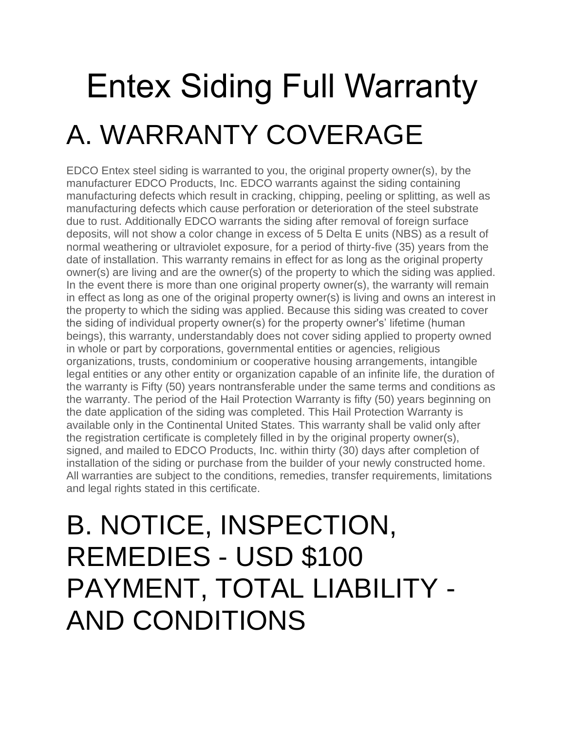# Entex Siding Full Warranty A. WARRANTY COVERAGE

EDCO Entex steel siding is warranted to you, the original property owner(s), by the manufacturer EDCO Products, Inc. EDCO warrants against the siding containing manufacturing defects which result in cracking, chipping, peeling or splitting, as well as manufacturing defects which cause perforation or deterioration of the steel substrate due to rust. Additionally EDCO warrants the siding after removal of foreign surface deposits, will not show a color change in excess of 5 Delta E units (NBS) as a result of normal weathering or ultraviolet exposure, for a period of thirty-five (35) years from the date of installation. This warranty remains in effect for as long as the original property owner(s) are living and are the owner(s) of the property to which the siding was applied. In the event there is more than one original property owner(s), the warranty will remain in effect as long as one of the original property owner(s) is living and owns an interest in the property to which the siding was applied. Because this siding was created to cover the siding of individual property owner(s) for the property owner's' lifetime (human beings), this warranty, understandably does not cover siding applied to property owned in whole or part by corporations, governmental entities or agencies, religious organizations, trusts, condominium or cooperative housing arrangements, intangible legal entities or any other entity or organization capable of an infinite life, the duration of the warranty is Fifty (50) years nontransferable under the same terms and conditions as the warranty. The period of the Hail Protection Warranty is fifty (50) years beginning on the date application of the siding was completed. This Hail Protection Warranty is available only in the Continental United States. This warranty shall be valid only after the registration certificate is completely filled in by the original property owner(s), signed, and mailed to EDCO Products, Inc. within thirty (30) days after completion of installation of the siding or purchase from the builder of your newly constructed home. All warranties are subject to the conditions, remedies, transfer requirements, limitations and legal rights stated in this certificate.

#### B. NOTICE, INSPECTION, REMEDIES - USD \$100 PAYMENT, TOTAL LIABILITY - AND CONDITIONS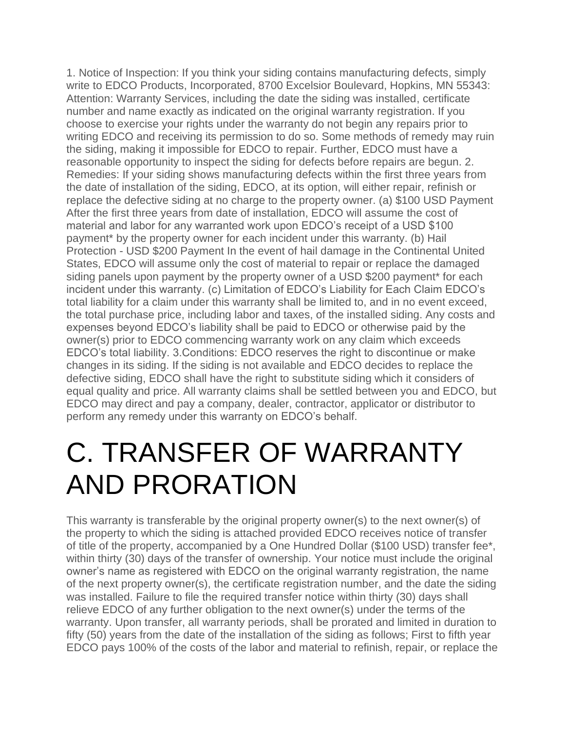1. Notice of Inspection: If you think your siding contains manufacturing defects, simply write to EDCO Products, Incorporated, 8700 Excelsior Boulevard, Hopkins, MN 55343: Attention: Warranty Services, including the date the siding was installed, certificate number and name exactly as indicated on the original warranty registration. If you choose to exercise your rights under the warranty do not begin any repairs prior to writing EDCO and receiving its permission to do so. Some methods of remedy may ruin the siding, making it impossible for EDCO to repair. Further, EDCO must have a reasonable opportunity to inspect the siding for defects before repairs are begun. 2. Remedies: If your siding shows manufacturing defects within the first three years from the date of installation of the siding, EDCO, at its option, will either repair, refinish or replace the defective siding at no charge to the property owner. (a) \$100 USD Payment After the first three years from date of installation, EDCO will assume the cost of material and labor for any warranted work upon EDCO's receipt of a USD \$100 payment\* by the property owner for each incident under this warranty. (b) Hail Protection - USD \$200 Payment In the event of hail damage in the Continental United States, EDCO will assume only the cost of material to repair or replace the damaged siding panels upon payment by the property owner of a USD \$200 payment\* for each incident under this warranty. (c) Limitation of EDCO's Liability for Each Claim EDCO's total liability for a claim under this warranty shall be limited to, and in no event exceed, the total purchase price, including labor and taxes, of the installed siding. Any costs and expenses beyond EDCO's liability shall be paid to EDCO or otherwise paid by the owner(s) prior to EDCO commencing warranty work on any claim which exceeds EDCO's total liability. 3.Conditions: EDCO reserves the right to discontinue or make changes in its siding. If the siding is not available and EDCO decides to replace the defective siding, EDCO shall have the right to substitute siding which it considers of equal quality and price. All warranty claims shall be settled between you and EDCO, but EDCO may direct and pay a company, dealer, contractor, applicator or distributor to perform any remedy under this warranty on EDCO's behalf.

#### C. TRANSFER OF WARRANTY AND PRORATION

This warranty is transferable by the original property owner(s) to the next owner(s) of the property to which the siding is attached provided EDCO receives notice of transfer of title of the property, accompanied by a One Hundred Dollar (\$100 USD) transfer fee\*, within thirty (30) days of the transfer of ownership. Your notice must include the original owner's name as registered with EDCO on the original warranty registration, the name of the next property owner(s), the certificate registration number, and the date the siding was installed. Failure to file the required transfer notice within thirty (30) days shall relieve EDCO of any further obligation to the next owner(s) under the terms of the warranty. Upon transfer, all warranty periods, shall be prorated and limited in duration to fifty (50) years from the date of the installation of the siding as follows; First to fifth year EDCO pays 100% of the costs of the labor and material to refinish, repair, or replace the